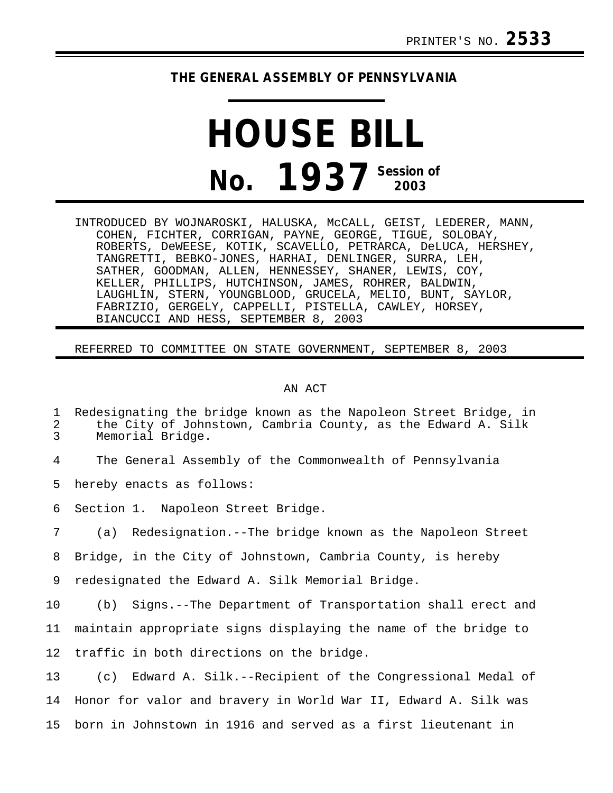## **THE GENERAL ASSEMBLY OF PENNSYLVANIA**

## **HOUSE BILL No. 1937 Session of 2003**

INTRODUCED BY WOJNAROSKI, HALUSKA, McCALL, GEIST, LEDERER, MANN, COHEN, FICHTER, CORRIGAN, PAYNE, GEORGE, TIGUE, SOLOBAY, ROBERTS, DeWEESE, KOTIK, SCAVELLO, PETRARCA, DeLUCA, HERSHEY, TANGRETTI, BEBKO-JONES, HARHAI, DENLINGER, SURRA, LEH, SATHER, GOODMAN, ALLEN, HENNESSEY, SHANER, LEWIS, COY, KELLER, PHILLIPS, HUTCHINSON, JAMES, ROHRER, BALDWIN, LAUGHLIN, STERN, YOUNGBLOOD, GRUCELA, MELIO, BUNT, SAYLOR, FABRIZIO, GERGELY, CAPPELLI, PISTELLA, CAWLEY, HORSEY, BIANCUCCI AND HESS, SEPTEMBER 8, 2003

## REFERRED TO COMMITTEE ON STATE GOVERNMENT, SEPTEMBER 8, 2003

## AN ACT

1 Redesignating the bridge known as the Napoleon Street Bridge, in<br>2 the City of Johnstown, Cambria County, as the Edward A. Silk 2 the City of Johnstown, Cambria County, as the Edward A. Silk<br>3 Memorial Bridge. Memorial Bridge.

4 The General Assembly of the Commonwealth of Pennsylvania

5 hereby enacts as follows:

6 Section 1. Napoleon Street Bridge.

7 (a) Redesignation.--The bridge known as the Napoleon Street

8 Bridge, in the City of Johnstown, Cambria County, is hereby

9 redesignated the Edward A. Silk Memorial Bridge.

10 (b) Signs.--The Department of Transportation shall erect and

11 maintain appropriate signs displaying the name of the bridge to

12 traffic in both directions on the bridge.

13 (c) Edward A. Silk.--Recipient of the Congressional Medal of 14 Honor for valor and bravery in World War II, Edward A. Silk was 15 born in Johnstown in 1916 and served as a first lieutenant in